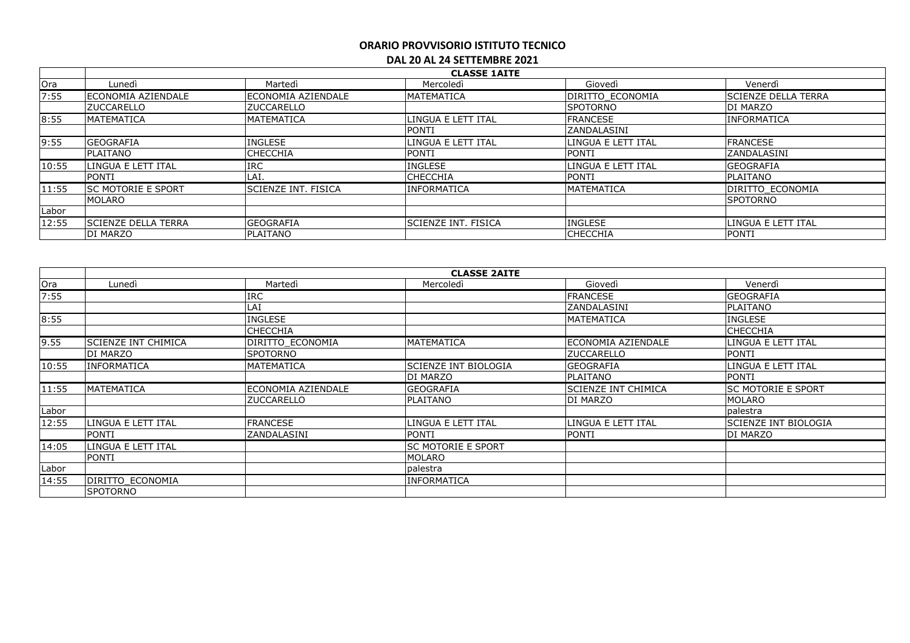|       |                             |                             | <b>CLASSE 1AITE</b>         |                    |                            |
|-------|-----------------------------|-----------------------------|-----------------------------|--------------------|----------------------------|
| Ora   | Lunedì                      | Martedì                     | Mercoledì                   | Giovedì            | Venerdì                    |
| 7:55  | ECONOMIA AZIENDALE          | ECONOMIA AZIENDALE          | <b>MATEMATICA</b>           | DIRITTO ECONOMIA   | <b>SCIENZE DELLA TERRA</b> |
|       | <b>IZUCCARELLO</b>          | <b>ZUCCARELLO</b>           |                             | <b>ISPOTORNO</b>   | <b>DI MARZO</b>            |
| 8:55  | <b>MATEMATICA</b>           | <b>MATEMATICA</b>           | LINGUA E LETT ITAL          | <b>FRANCESE</b>    | <b>INFORMATICA</b>         |
|       |                             |                             | <b>PONTI</b>                | IZANDALASINI       |                            |
| 9:55  | <b>GEOGRAFIA</b>            | <b>INGLESE</b>              | LINGUA E LETT ITAL          | LINGUA E LETT ITAL | <b>FRANCESE</b>            |
|       | PLAITANO                    | <b>CHECCHIA</b>             | PONTI                       | <b>PONTI</b>       | <b>ZANDALASINI</b>         |
| 10:55 | LINGUA E LETT ITAL          | <b>IRC</b>                  | INGLESE                     | LINGUA E LETT ITAL | <b>GEOGRAFIA</b>           |
|       | <b>PONTI</b>                | LAI.                        | <b>CHECCHIA</b>             | <b>PONTI</b>       | <b>PLAITANO</b>            |
| 11:55 | <b>ISC MOTORIE E SPORT</b>  | <b>ISCIENZE INT. FISICA</b> | <b>INFORMATICA</b>          | <b>MATEMATICA</b>  | <b>DIRITTO ECONOMIA</b>    |
|       | MOLARO                      |                             |                             |                    | <b>ISPOTORNO</b>           |
| Labor |                             |                             |                             |                    |                            |
| 12:55 | <b>ISCIENZE DELLA TERRA</b> | <b>GEOGRAFIA</b>            | <b>ISCIENZE INT. FISICA</b> | <b>INGLESE</b>     | llingua e lett ital        |
|       | <b>DI MARZO</b>             | <b>PLAITANO</b>             |                             | <b>CHECCHIA</b>    | <b>PONTI</b>               |

|       | <b>CLASSE 2AITE</b>         |                    |                             |                            |                      |  |  |
|-------|-----------------------------|--------------------|-----------------------------|----------------------------|----------------------|--|--|
| Ora   | Lunedì                      | Martedì            | Mercoledì                   | Giovedì                    | Venerdì              |  |  |
| 7:55  |                             | <b>IRC</b>         |                             | <b>FRANCESE</b>            | <b>GEOGRAFIA</b>     |  |  |
|       |                             | LAI                |                             | ZANDALASINI                | PLAITANO             |  |  |
| 8:55  |                             | <b>INGLESE</b>     |                             | <b>MATEMATICA</b>          | INGLESE              |  |  |
|       |                             | <b>CHECCHIA</b>    |                             |                            | <b>CHECCHIA</b>      |  |  |
| 9.55  | <b>ISCIENZE INT CHIMICA</b> | DIRITTO ECONOMIA   | <b>MATEMATICA</b>           | lECONOMIA AZIENDALE        | LINGUA E LETT ITAL   |  |  |
|       | IDI MARZO                   | <b>SPOTORNO</b>    |                             | <b>ZUCCARELLO</b>          | <b>PONTI</b>         |  |  |
| 10:55 | <b>INFORMATICA</b>          | <b>MATEMATICA</b>  | <b>SCIENZE INT BIOLOGIA</b> | <b>GEOGRAFIA</b>           | LINGUA E LETT ITAL   |  |  |
|       |                             |                    | DI MARZO                    | PLAITANO                   | <b>PONTI</b>         |  |  |
| 11:55 | <b>MATEMATICA</b>           | ECONOMIA AZIENDALE | <b>GEOGRAFIA</b>            | <b>SCIENZE INT CHIMICA</b> | lsc motorie e sport  |  |  |
|       |                             | <b>ZUCCARELLO</b>  | <b>PLAITANO</b>             | DI MARZO                   | <b>MOLARO</b>        |  |  |
| Labor |                             |                    |                             |                            | palestra             |  |  |
| 12:55 | LINGUA E LETT ITAL          | <b>FRANCESE</b>    | LINGUA E LETT ITAL          | LINGUA E LETT ITAL         | SCIENZE INT BIOLOGIA |  |  |
|       | <b>PONTI</b>                | ZANDALASINI        | <b>PONTI</b>                | <b>PONTI</b>               | DI MARZO             |  |  |
| 14:05 | LINGUA E LETT ITAL          |                    | <b>SC MOTORIE E SPORT</b>   |                            |                      |  |  |
|       | <b>PONTI</b>                |                    | <b>MOLARO</b>               |                            |                      |  |  |
| Labor |                             |                    | palestra                    |                            |                      |  |  |
| 14:55 | DIRITTO ECONOMIA            |                    | <b>INFORMATICA</b>          |                            |                      |  |  |
|       | <b>ISPOTORNO</b>            |                    |                             |                            |                      |  |  |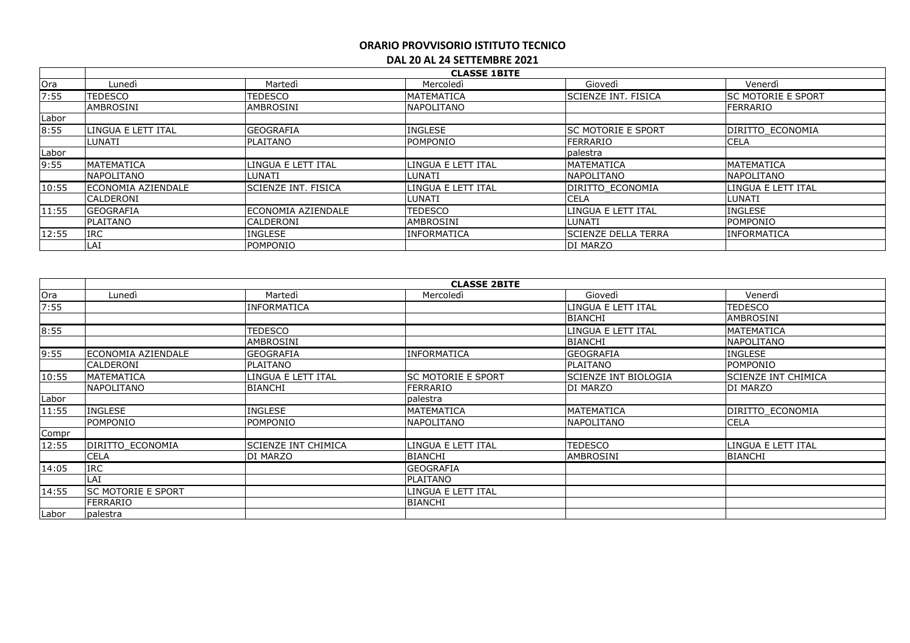|       | <b>CLASSE 1BITE</b>       |                            |                     |                             |                           |  |  |
|-------|---------------------------|----------------------------|---------------------|-----------------------------|---------------------------|--|--|
| Ora   | Lunedì                    | Martedì                    | Mercoledì           | Giovedì                     | Venerdì                   |  |  |
| 7:55  | TEDESCO                   | TEDESCO                    | <b>MATEMATICA</b>   | <b>SCIENZE INT. FISICA</b>  | <b>SC MOTORIE E SPORT</b> |  |  |
|       | <b>AMBROSINI</b>          | <b>AMBROSINI</b>           | <b>NAPOLITANO</b>   |                             | <b>FERRARIO</b>           |  |  |
| Labor |                           |                            |                     |                             |                           |  |  |
| 8:55  | LINGUA E LETT ITAL        | <b>GEOGRAFIA</b>           | <b>INGLESE</b>      | <b>ISC MOTORIE E SPORT</b>  | DIRITTO ECONOMIA          |  |  |
|       | LUNATI                    | <b>PLAITANO</b>            | <b>POMPONIO</b>     | IFERRARIO                   | <b>CELA</b>               |  |  |
| Labor |                           |                            |                     | palestra                    |                           |  |  |
| 9:55  | <b>MATEMATICA</b>         | LINGUA E LETT ITAL         | ILINGUA E LETT ITAL | <b>MATEMATICA</b>           | <b>MATEMATICA</b>         |  |  |
|       | <b>NAPOLITANO</b>         | LUNATI                     | <b>LUNATI</b>       | <b>NAPOLITANO</b>           | <b>NAPOLITANO</b>         |  |  |
| 10:55 | <b>ECONOMIA AZIENDALE</b> | <b>SCIENZE INT. FISICA</b> | ILINGUA E LETT ITAL | DIRITTO ECONOMIA            | LINGUA E LETT ITAL        |  |  |
|       | CALDERONI                 |                            | <b>LUNATI</b>       | <b>CELA</b>                 | <b>LUNATI</b>             |  |  |
| 11:55 | <b>GEOGRAFIA</b>          | <b>ECONOMIA AZIENDALE</b>  | <b>TEDESCO</b>      | LINGUA E LETT ITAL          | <b>INGLESE</b>            |  |  |
|       | <b>PLAITANO</b>           | <b>CALDERONI</b>           | <b>AMBROSINI</b>    | LUNATI                      | POMPONIO                  |  |  |
| 12:55 | <b>IRC</b>                | <b>INGLESE</b>             | <b>INFORMATICA</b>  | <b>ISCIENZE DELLA TERRA</b> | <b>INFORMATICA</b>        |  |  |
|       | LAI                       | POMPONIO                   |                     | <b>DI MARZO</b>             |                           |  |  |

|       | <b>CLASSE 2BITE</b>       |                            |                    |                             |                     |  |  |
|-------|---------------------------|----------------------------|--------------------|-----------------------------|---------------------|--|--|
| Ora   | Lunedì                    | Martedì                    | Mercoledì          | Giovedì                     | Venerdì             |  |  |
| 7:55  |                           | <b>INFORMATICA</b>         |                    | LINGUA E LETT ITAL          | TEDESCO             |  |  |
|       |                           |                            |                    | <b>BIANCHI</b>              | AMBROSINI           |  |  |
| 8:55  |                           | <b>TEDESCO</b>             |                    | LINGUA E LETT ITAL          | <b>MATEMATICA</b>   |  |  |
|       |                           | AMBROSINI                  |                    | <b>BIANCHI</b>              | <b>NAPOLITANO</b>   |  |  |
| 9:55  | ECONOMIA AZIENDALE        | <b>GEOGRAFIA</b>           | <b>INFORMATICA</b> | <b>GEOGRAFIA</b>            | <b>INGLESE</b>      |  |  |
|       | <b>CALDERONI</b>          | PLAITANO                   |                    | PLAITANO                    | POMPONIO            |  |  |
| 10:55 | MATEMATICA                | LINGUA E LETT ITAL         | SC MOTORIE E SPORT | <b>SCIENZE INT BIOLOGIA</b> | SCIENZE INT CHIMICA |  |  |
|       | <b>NAPOLITANO</b>         | <b>BIANCHI</b>             | <b>FERRARIO</b>    | DI MARZO                    | DI MARZO            |  |  |
| Labor |                           |                            | palestra           |                             |                     |  |  |
| 11:55 | <b>INGLESE</b>            | <b>INGLESE</b>             | MATEMATICA         | <b>MATEMATICA</b>           | DIRITTO ECONOMIA    |  |  |
|       | POMPONIO                  | POMPONIO                   | NAPOLITANO         | <b>NAPOLITANO</b>           | <b>CELA</b>         |  |  |
| Compr |                           |                            |                    |                             |                     |  |  |
| 12:55 | DIRITTO ECONOMIA          | <b>SCIENZE INT CHIMICA</b> | LINGUA E LETT ITAL | <b>TEDESCO</b>              | LINGUA E LETT ITAL  |  |  |
|       | <b>CELA</b>               | DI MARZO                   | <b>BIANCHI</b>     | <b>AMBROSINI</b>            | <b>BIANCHI</b>      |  |  |
| 14:05 | <b>IRC</b>                |                            | <b>GEOGRAFIA</b>   |                             |                     |  |  |
|       | LAI                       |                            | <b>PLAITANO</b>    |                             |                     |  |  |
| 14:55 | <b>SC MOTORIE E SPORT</b> |                            | LINGUA E LETT ITAL |                             |                     |  |  |
|       | <b>FERRARIO</b>           |                            | <b>BIANCHI</b>     |                             |                     |  |  |
| Labor | palestra                  |                            |                    |                             |                     |  |  |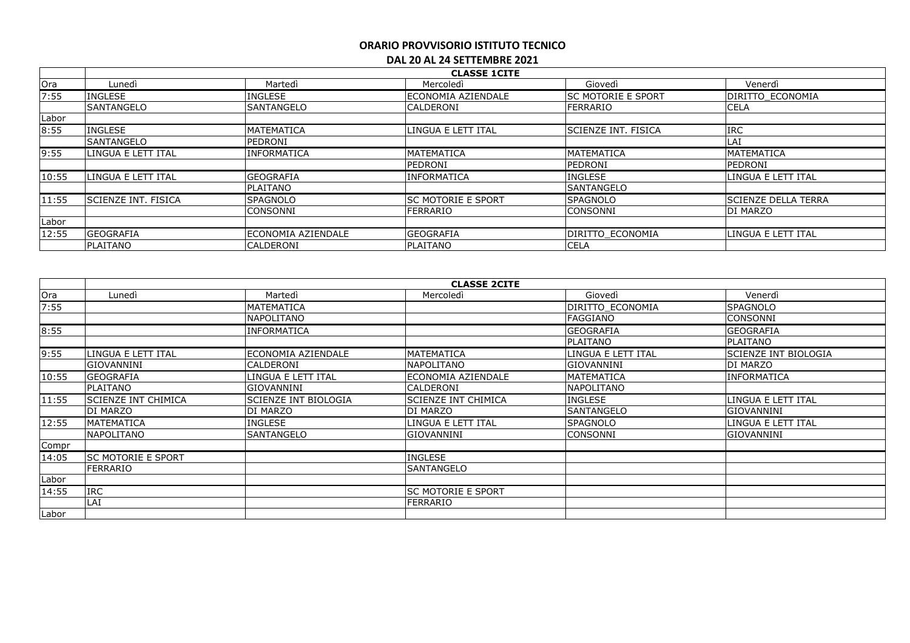|       | <b>CLASSE 1CITE</b>  |                            |                            |                      |                            |  |  |
|-------|----------------------|----------------------------|----------------------------|----------------------|----------------------------|--|--|
| Ora   | Lunedì               | Martedì                    | Mercoledì                  | Giovedì              | Venerdì                    |  |  |
| 7:55  | <b>INGLESE</b>       | <b>INGLESE</b>             | <b>IECONOMIA AZIENDALE</b> | lsc motorie e sport  | <b>DIRITTO ECONOMIA</b>    |  |  |
|       | <b>SANTANGELO</b>    | <b>SANTANGELO</b>          | <b>CALDERONI</b>           | <b>FERRARIO</b>      | <b>CELA</b>                |  |  |
| Labor |                      |                            |                            |                      |                            |  |  |
| 8:55  | <b>INGLESE</b>       | MATEMATICA                 | LINGUA E LETT ITAL         | ISCIENZE INT. FISICA | <b>IRC</b>                 |  |  |
|       | <b>SANTANGELO</b>    | PEDRONI                    |                            |                      | LAI                        |  |  |
| 9:55  | LINGUA E LETT ITAL   | <b>INFORMATICA</b>         | <b>MATEMATICA</b>          | MATEMATICA           | <b>MATEMATICA</b>          |  |  |
|       |                      |                            | PEDRONI                    | PEDRONI              | PEDRONI                    |  |  |
| 10:55 | LINGUA E LETT ITAL   | <b>GEOGRAFIA</b>           | <b>INFORMATICA</b>         | <b>INGLESE</b>       | LINGUA E LETT ITAL         |  |  |
|       |                      | PLAITANO                   |                            | <b>SANTANGELO</b>    |                            |  |  |
| 11:55 | lSCIENZE INT. FISICA | <b>SPAGNOLO</b>            | ISC MOTORIE E SPORT        | <b>SPAGNOLO</b>      | <b>SCIENZE DELLA TERRA</b> |  |  |
|       |                      | <b>CONSONNI</b>            | <b>FERRARIO</b>            | <b>CONSONNI</b>      | <b>DI MARZO</b>            |  |  |
| Labor |                      |                            |                            |                      |                            |  |  |
| 12:55 | <b>GEOGRAFIA</b>     | <b>IECONOMIA AZIENDALE</b> | <b>GEOGRAFIA</b>           | DIRITTO ECONOMIA     | LINGUA E LETT ITAL         |  |  |
|       | PLAITANO             | <b>CALDERONI</b>           | <b>IPLAITANO</b>           | <b>CELA</b>          |                            |  |  |

|       |                            |                             | <b>CLASSE 2CITE</b>       |                    |                             |
|-------|----------------------------|-----------------------------|---------------------------|--------------------|-----------------------------|
| Ora   | Lunedì                     | Martedì                     | Mercoledì                 | Giovedì            | Venerdì                     |
| 7:55  |                            | <b>MATEMATICA</b>           |                           | DIRITTO ECONOMIA   | <b>SPAGNOLO</b>             |
|       |                            | <b>NAPOLITANO</b>           |                           | FAGGIANO           | <b>CONSONNI</b>             |
| 8:55  |                            | INFORMATICA                 |                           | <b>GEOGRAFIA</b>   | <b>GEOGRAFIA</b>            |
|       |                            |                             |                           | <b>PLAITANO</b>    | PLAITANO                    |
| 9:55  | LINGUA E LETT ITAL         | ECONOMIA AZIENDALE          | <b>MATEMATICA</b>         | LINGUA E LETT ITAL | <b>SCIENZE INT BIOLOGIA</b> |
|       | GIOVANNINI                 | CALDERONI                   | <b>NAPOLITANO</b>         | GIOVANNINI         | DI MARZO                    |
| 10:55 | <b>GEOGRAFIA</b>           | LINGUA E LETT ITAL          | lECONOMIA AZIENDALE       | <b>MATEMATICA</b>  | <b>INFORMATICA</b>          |
|       | PLAITANO                   | GIOVANNINI                  | <b>CALDERONI</b>          | <b>NAPOLITANO</b>  |                             |
| 11:55 | <b>SCIENZE INT CHIMICA</b> | <b>SCIENZE INT BIOLOGIA</b> | ISCIENZE INT CHIMICA      | <b>INGLESE</b>     | LINGUA E LETT ITAL          |
|       | DI MARZO                   | DI MARZO                    | DI MARZO                  | <b>SANTANGELO</b>  | <b>GIOVANNINI</b>           |
| 12:55 | <b>MATEMATICA</b>          | <b>INGLESE</b>              | LINGUA E LETT ITAL        | <b>SPAGNOLO</b>    | LINGUA E LETT ITAL          |
|       | <b>NAPOLITANO</b>          | SANTANGELO                  | <b>GIOVANNINI</b>         | CONSONNI           | <b>GIOVANNINI</b>           |
| Compr |                            |                             |                           |                    |                             |
| 14:05 | <b>SC MOTORIE E SPORT</b>  |                             | <b>INGLESE</b>            |                    |                             |
|       | FERRARIO                   |                             | <b>SANTANGELO</b>         |                    |                             |
| Labor |                            |                             |                           |                    |                             |
| 14:55 | <b>IRC</b>                 |                             | <b>SC MOTORIE E SPORT</b> |                    |                             |
|       | LAI                        |                             | FERRARIO                  |                    |                             |
| Labor |                            |                             |                           |                    |                             |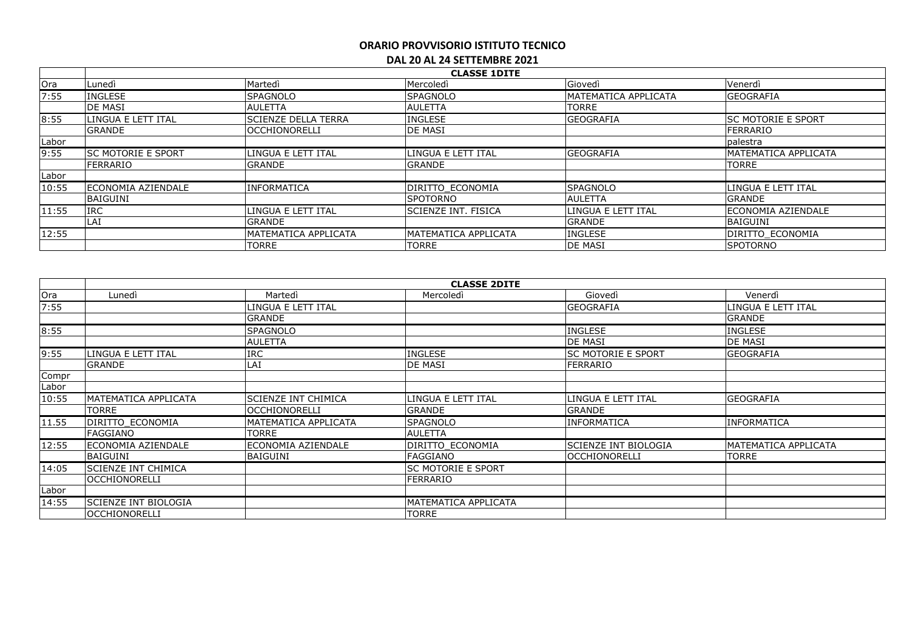|       | <b>CLASSE 1DITE</b>        |                            |                          |                      |                           |  |
|-------|----------------------------|----------------------------|--------------------------|----------------------|---------------------------|--|
| Ora   | Lunedì                     | Martedì                    | Mercoledì                | Giovedì              | Venerdì                   |  |
| 7:55  | <b>INGLESE</b>             | <b>SPAGNOLO</b>            | <b>SPAGNOLO</b>          | MATEMATICA APPLICATA | <b>GEOGRAFIA</b>          |  |
|       | <b>DE MASI</b>             | <b>AULETTA</b>             | <b>AULETTA</b>           | <b>TORRE</b>         |                           |  |
| 8:55  | LINGUA E LETT ITAL         | <b>SCIENZE DELLA TERRA</b> | <b>INGLESE</b>           | <b>GEOGRAFIA</b>     | <b>SC MOTORIE E SPORT</b> |  |
|       | <b>GRANDE</b>              | <b>lOCCHIONORELLI</b>      | <b>IDE MASI</b>          |                      | <b>FERRARIO</b>           |  |
| Labor |                            |                            |                          |                      | palestra                  |  |
| 9:55  | ISC MOTORIE E SPORT        | LINGUA E LETT ITAL         | LINGUA E LETT ITAL       | <b>GEOGRAFIA</b>     | IMATEMATICA APPLICATA     |  |
|       | FERRARIO                   | <b>GRANDE</b>              | <b>GRANDE</b>            |                      | <b>TORRE</b>              |  |
| Labor |                            |                            |                          |                      |                           |  |
| 10:55 | <b>IECONOMIA AZIENDALE</b> | <b>INFORMATICA</b>         | <b>IDIRITTO ECONOMIA</b> | <b>SPAGNOLO</b>      | <b>LINGUA E LETT ITAL</b> |  |
|       | BAIGUINI                   |                            | <b>SPOTORNO</b>          | <b>AULETTA</b>       | <b>GRANDE</b>             |  |
| 11:55 | <b>IRC</b>                 | LINGUA E LETT ITAL         | lscienze int. Fisica     | LINGUA E LETT ITAL   | ECONOMIA AZIENDALE        |  |
|       | LAI                        | <b>GRANDE</b>              |                          | <b>GRANDE</b>        | <b>BAIGUINI</b>           |  |
| 12:55 |                            | MATEMATICA APPLICATA       | IMATEMATICA APPLICATA    | <b>INGLESE</b>       | DIRITTO ECONOMIA          |  |
|       |                            | TORRE                      | TORRE                    | <b>IDE MASI</b>      | <b>SPOTORNO</b>           |  |

|       | <b>CLASSE 2DITE</b>         |                            |                           |                      |                      |  |  |
|-------|-----------------------------|----------------------------|---------------------------|----------------------|----------------------|--|--|
| Ora   | Lunedì                      | Martedì                    | Mercoledì                 | Giovedì              | Venerdì              |  |  |
| 7:55  |                             | LINGUA E LETT ITAL         |                           | GEOGRAFIA            | LINGUA E LETT ITAL   |  |  |
|       |                             | <b>GRANDE</b>              |                           |                      | <b>GRANDE</b>        |  |  |
| 8:55  |                             | <b>SPAGNOLO</b>            |                           | <b>INGLESE</b>       | <b>INGLESE</b>       |  |  |
|       |                             | <b>AULETTA</b>             |                           | <b>DE MASI</b>       | DE MASI              |  |  |
| 9:55  | LINGUA E LETT ITAL          | <b>IRC</b>                 | <b>INGLESE</b>            | SC MOTORIE E SPORT   | <b>GEOGRAFIA</b>     |  |  |
|       | <b>GRANDE</b>               | LAI                        | DE MASI                   | FERRARIO             |                      |  |  |
| Compr |                             |                            |                           |                      |                      |  |  |
| Labor |                             |                            |                           |                      |                      |  |  |
| 10:55 | IMATEMATICA APPLICATA       | <b>SCIENZE INT CHIMICA</b> | LINGUA E LETT ITAL        | LINGUA E LETT ITAL   | <b>GEOGRAFIA</b>     |  |  |
|       | <b>TORRE</b>                | OCCHIONORELLI              | <b>GRANDE</b>             | <b>GRANDE</b>        |                      |  |  |
| 11.55 | DIRITTO ECONOMIA            | MATEMATICA APPLICATA       | SPAGNOLO                  | <b>INFORMATICA</b>   | IINFORMATICA         |  |  |
|       | <b>FAGGIANO</b>             | TORRE                      | AULETTA                   |                      |                      |  |  |
| 12:55 | ECONOMIA AZIENDALE          | ECONOMIA AZIENDALE         | DIRITTO ECONOMIA          | SCIENZE INT BIOLOGIA | MATEMATICA APPLICATA |  |  |
|       | <b>BAIGUINI</b>             | BAIGUINI                   | FAGGIANO                  | <b>OCCHIONORELLI</b> | TORRE                |  |  |
| 14:05 | <b>SCIENZE INT CHIMICA</b>  |                            | <b>SC MOTORIE E SPORT</b> |                      |                      |  |  |
|       | <b>lOCCHIONORELLI</b>       |                            | <b>FERRARIO</b>           |                      |                      |  |  |
| Labor |                             |                            |                           |                      |                      |  |  |
| 14:55 | <b>SCIENZE INT BIOLOGIA</b> |                            | MATEMATICA APPLICATA      |                      |                      |  |  |
|       | <b>OCCHIONORELLI</b>        |                            | <b>TORRE</b>              |                      |                      |  |  |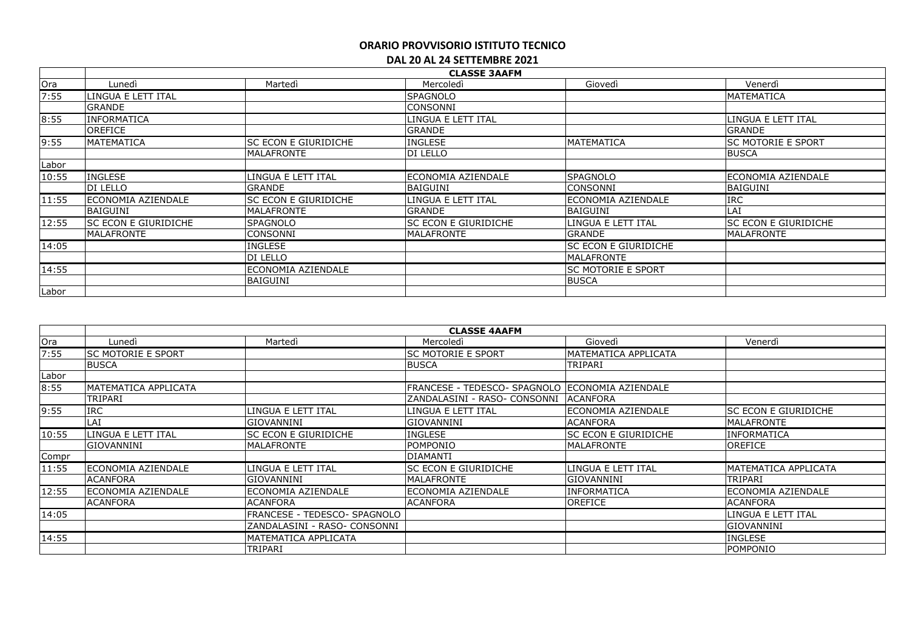|       |                             |                      | <b>CLASSE 3AAFM</b>         |                             |                           |
|-------|-----------------------------|----------------------|-----------------------------|-----------------------------|---------------------------|
| Ora   | Lunedì                      | Martedì              | Mercoledì                   | Giovedì                     | Venerdì                   |
| 7:55  | LINGUA E LETT ITAL          |                      | <b>SPAGNOLO</b>             |                             | <b>MATEMATICA</b>         |
|       | <b>GRANDE</b>               |                      | <b>CONSONNI</b>             |                             |                           |
| 8:55  | <b>INFORMATICA</b>          |                      | LINGUA E LETT ITAL          |                             | LINGUA E LETT ITAL        |
|       | OREFICE                     |                      | <b>GRANDE</b>               |                             | GRANDE                    |
| 9:55  | <b>MATEMATICA</b>           | SC ECON E GIURIDICHE | <b>INGLESE</b>              | <b>MATEMATICA</b>           | <b>SC MOTORIE E SPORT</b> |
|       |                             | <b>MALAFRONTE</b>    | DI LELLO                    |                             | <b>BUSCA</b>              |
| Labor |                             |                      |                             |                             |                           |
| 10:55 | <b>INGLESE</b>              | LINGUA E LETT ITAL   | lECONOMIA AZIENDALE         | <b>SPAGNOLO</b>             | ECONOMIA AZIENDALE        |
|       | DI LELLO                    | <b>GRANDE</b>        | BAIGUINI                    | <b>CONSONNI</b>             | <b>BAIGUINI</b>           |
| 11:55 | ECONOMIA AZIENDALE          | SC ECON E GIURIDICHE | LINGUA E LETT ITAL          | ECONOMIA AZIENDALE          | <b>IRC</b>                |
|       | <b>BAIGUINI</b>             | MALAFRONTE           | <b>GRANDE</b>               | <b>BAIGUINI</b>             | LAI                       |
| 12:55 | <b>SC ECON E GIURIDICHE</b> | <b>SPAGNOLO</b>      | <b>SC ECON E GIURIDICHE</b> | LINGUA E LETT ITAL          | SC ECON E GIURIDICHE      |
|       | <b>MALAFRONTE</b>           | CONSONNI             | MALAFRONTE                  | GRANDE                      | <b>MALAFRONTE</b>         |
| 14:05 |                             | <b>INGLESE</b>       |                             | <b>SC ECON E GIURIDICHE</b> |                           |
|       |                             | DI LELLO             |                             | <b>MALAFRONTE</b>           |                           |
| 14:55 |                             | ECONOMIA AZIENDALE   |                             | <b>SC MOTORIE E SPORT</b>   |                           |
|       |                             | <b>BAIGUINI</b>      |                             | <b>BUSCA</b>                |                           |
| Labor |                             |                      |                             |                             |                           |

|       | <b>CLASSE 4AAFM</b>       |                              |                                                   |                      |                       |  |  |
|-------|---------------------------|------------------------------|---------------------------------------------------|----------------------|-----------------------|--|--|
| Ora   | Lunedì                    | Martedì                      | Mercoledì                                         | Giovedì              | Venerdì               |  |  |
| 7:55  | <b>SC MOTORIE E SPORT</b> |                              | <b>SC MOTORIE E SPORT</b>                         | MATEMATICA APPLICATA |                       |  |  |
|       | <b>BUSCA</b>              |                              | <b>BUSCA</b>                                      | TRIPARI              |                       |  |  |
| Labor |                           |                              |                                                   |                      |                       |  |  |
| 8:55  | IMATEMATICA APPLICATA     |                              | FRANCESE - TEDESCO- SPAGNOLO   ECONOMIA AZIENDALE |                      |                       |  |  |
|       | <b>TRIPARI</b>            |                              | ZANDALASINI - RASO- CONSONNI   ACANFORA           |                      |                       |  |  |
| 9:55  | <b>IRC</b>                | LINGUA E LETT ITAL           | LINGUA E LETT ITAL                                | ECONOMIA AZIENDALE   | lsc econ e giuridiche |  |  |
|       | LAI                       | <b>GIOVANNINI</b>            | GIOVANNINI                                        | <b>ACANFORA</b>      | <b>MALAFRONTE</b>     |  |  |
| 10:55 | LINGUA E LETT ITAL        | <b>SC ECON E GIURIDICHE</b>  | <b>INGLESE</b>                                    | SC ECON E GIURIDICHE | INFORMATICA           |  |  |
|       | <b>GIOVANNINI</b>         | MALAFRONTE                   | POMPONIO                                          | <b>MALAFRONTE</b>    | <b>OREFICE</b>        |  |  |
| Compr |                           |                              | <b>DIAMANTI</b>                                   |                      |                       |  |  |
| 11:55 | <b>ECONOMIA AZIENDALE</b> | LINGUA E LETT ITAL           | SC ECON E GIURIDICHE                              | LINGUA E LETT ITAL   | MATEMATICA APPLICATA  |  |  |
|       | <b>ACANFORA</b>           | <b>GIOVANNINI</b>            | <b>MALAFRONTE</b>                                 | <b>GIOVANNINI</b>    | TRIPARI               |  |  |
| 12:55 | <b>ECONOMIA AZIENDALE</b> | ECONOMIA AZIENDALE           | ECONOMIA AZIENDALE                                | <b>INFORMATICA</b>   | lECONOMIA AZIENDALE   |  |  |
|       | <b>ACANFORA</b>           | <b>ACANFORA</b>              | <b>ACANFORA</b>                                   | <b>OREFICE</b>       | <b>ACANFORA</b>       |  |  |
| 14:05 |                           | FRANCESE - TEDESCO- SPAGNOLO |                                                   |                      | LINGUA E LETT ITAL    |  |  |
|       |                           | ZANDALASINI - RASO- CONSONNI |                                                   |                      | GIOVANNINI            |  |  |
| 14:55 |                           | MATEMATICA APPLICATA         |                                                   |                      | <b>INGLESE</b>        |  |  |
|       |                           | TRIPARI                      |                                                   |                      | POMPONIO              |  |  |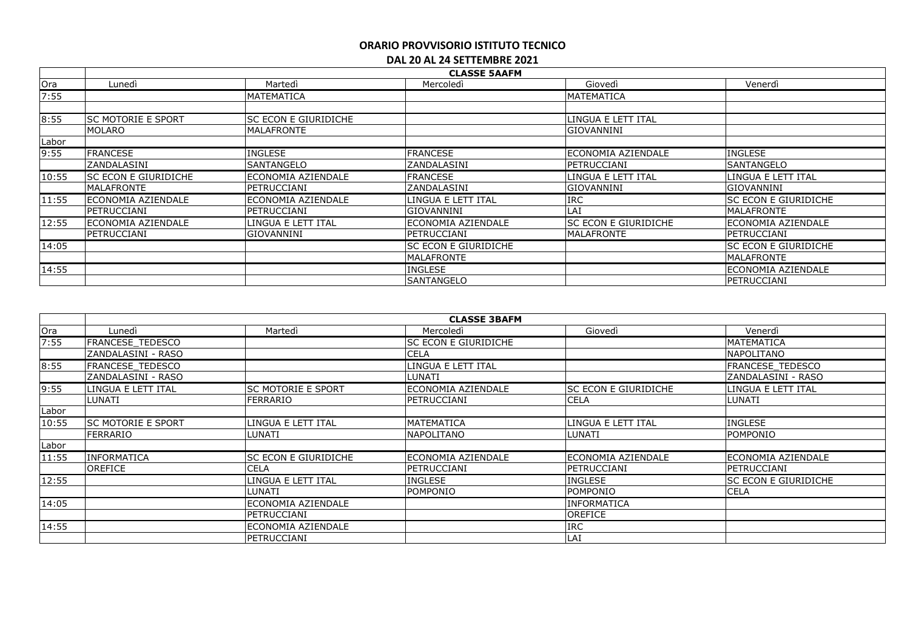|                                         | <b>CLASSE 5AAFM</b>         |                      |                             |                             |                             |  |
|-----------------------------------------|-----------------------------|----------------------|-----------------------------|-----------------------------|-----------------------------|--|
|                                         | Lunedì                      | Martedì              | Mercoledì                   | Giovedì                     | Venerdì                     |  |
| 7:55                                    |                             | <b>MATEMATICA</b>    |                             | MATEMATICA                  |                             |  |
|                                         |                             |                      |                             |                             |                             |  |
| 8:55                                    | <b>ISC MOTORIE E SPORT</b>  | SC ECON E GIURIDICHE |                             | LINGUA E LETT ITAL          |                             |  |
|                                         | <b>MOLARO</b>               | <b>MALAFRONTE</b>    |                             | <b>GIOVANNINI</b>           |                             |  |
| Labor                                   |                             |                      |                             |                             |                             |  |
| 9:55                                    | <b>FRANCESE</b>             | <b>INGLESE</b>       | <b>FRANCESE</b>             | lECONOMIA AZIENDALE         | <b>INGLESE</b>              |  |
|                                         | ZANDALASINI                 | SANTANGELO           | ZANDALASINI                 | PETRUCCIANI                 | SANTANGELO                  |  |
| 10:55                                   | <b>SC ECON E GIURIDICHE</b> | ECONOMIA AZIENDALE   | <b>FRANCESE</b>             | LINGUA E LETT ITAL          | LINGUA E LETT ITAL          |  |
|                                         | <b>MALAFRONTE</b>           | PETRUCCIANI          | <b>ZANDALASINI</b>          | <b>GIOVANNINI</b>           | <b>GIOVANNINI</b>           |  |
| Ora<br>11:55<br>12:55<br>14:05<br>14:55 | ECONOMIA AZIENDALE          | ECONOMIA AZIENDALE   | LINGUA E LETT ITAL          | <b>IRC</b>                  | <b>SC ECON E GIURIDICHE</b> |  |
|                                         | PETRUCCIANI                 | PETRUCCIANI          | lGIOVANNINI                 | LAI                         | <b>MALAFRONTE</b>           |  |
|                                         | <b>ECONOMIA AZIENDALE</b>   | LINGUA E LETT ITAL   | lECONOMIA AZIENDALE         | <b>SC ECON E GIURIDICHE</b> | ECONOMIA AZIENDALE          |  |
|                                         | PETRUCCIANI                 | GIOVANNINI           | PETRUCCIANI                 | MALAFRONTE                  | PETRUCCIANI                 |  |
|                                         |                             |                      | <b>SC ECON E GIURIDICHE</b> |                             | SC ECON E GIURIDICHE        |  |
|                                         |                             |                      | MALAFRONTE                  |                             | MALAFRONTE                  |  |
|                                         |                             |                      | INGLESE                     |                             | ECONOMIA AZIENDALE          |  |
|                                         |                             |                      | <b>SANTANGELO</b>           |                             | PETRUCCIANI                 |  |

|       |                           | <b>CLASSE 3BAFM</b>       |                              |                            |                         |  |  |  |
|-------|---------------------------|---------------------------|------------------------------|----------------------------|-------------------------|--|--|--|
| Ora   | Lunedì                    | Martedì                   | Mercoledì                    | Giovedì                    | Venerdì                 |  |  |  |
| 7:55  | FRANCESE TEDESCO          |                           | <b>ISC ECON E GIURIDICHE</b> |                            | <b>MATEMATICA</b>       |  |  |  |
|       | ZANDALASINI - RASO        |                           | <b>CELA</b>                  |                            | NAPOLITANO              |  |  |  |
| 8:55  | FRANCESE TEDESCO          |                           | LINGUA E LETT ITAL           |                            | <b>FRANCESE TEDESCO</b> |  |  |  |
|       | ZANDALASINI - RASO        |                           | ILUNATI                      |                            | ZANDALASINI - RASO      |  |  |  |
| 9:55  | LINGUA E LETT ITAL        | <b>SC MOTORIE E SPORT</b> | <b>IECONOMIA AZIENDALE</b>   | ISC ECON E GIURIDICHE      | LINGUA E LETT ITAL      |  |  |  |
|       | LUNATI                    | FERRARIO                  | <b>IPETRUCCIANI</b>          | <b>CELA</b>                | LUNATI                  |  |  |  |
| Labor |                           |                           |                              |                            |                         |  |  |  |
| 10:55 | <b>SC MOTORIE E SPORT</b> | LINGUA E LETT ITAL        | <b>MATEMATICA</b>            | LINGUA E LETT ITAL         | <b>INGLESE</b>          |  |  |  |
|       | <b>FERRARIO</b>           | LUNATI                    | <b>NAPOLITANO</b>            | LUNATI                     | <b>POMPONIO</b>         |  |  |  |
| Labor |                           |                           |                              |                            |                         |  |  |  |
| 11:55 | <b>INFORMATICA</b>        | SC ECON E GIURIDICHE      | <b>IECONOMIA AZIENDALE</b>   | <b>IECONOMIA AZIENDALE</b> | lECONOMIA AZIENDALE     |  |  |  |
|       | <b>OREFICE</b>            | <b>CELA</b>               | <b>IPETRUCCIANI</b>          | IPETRUCCIANI               | PETRUCCIANI             |  |  |  |
| 12:55 |                           | LINGUA E LETT ITAL        | <b>INGLESE</b>               | <b>INGLESE</b>             | ISC ECON E GIURIDICHE   |  |  |  |
|       |                           | LUNATI                    | POMPONIO                     | POMPONIO                   | <b>CELA</b>             |  |  |  |
| 14:05 |                           | ECONOMIA AZIENDALE        |                              | <b>INFORMATICA</b>         |                         |  |  |  |
|       |                           | IPETRUCCIANI              |                              | OREFICE                    |                         |  |  |  |
| 14:55 |                           | lECONOMIA AZIENDALE       |                              | <b>IRC</b>                 |                         |  |  |  |
|       |                           | PETRUCCIANI               |                              | <b>LAI</b>                 |                         |  |  |  |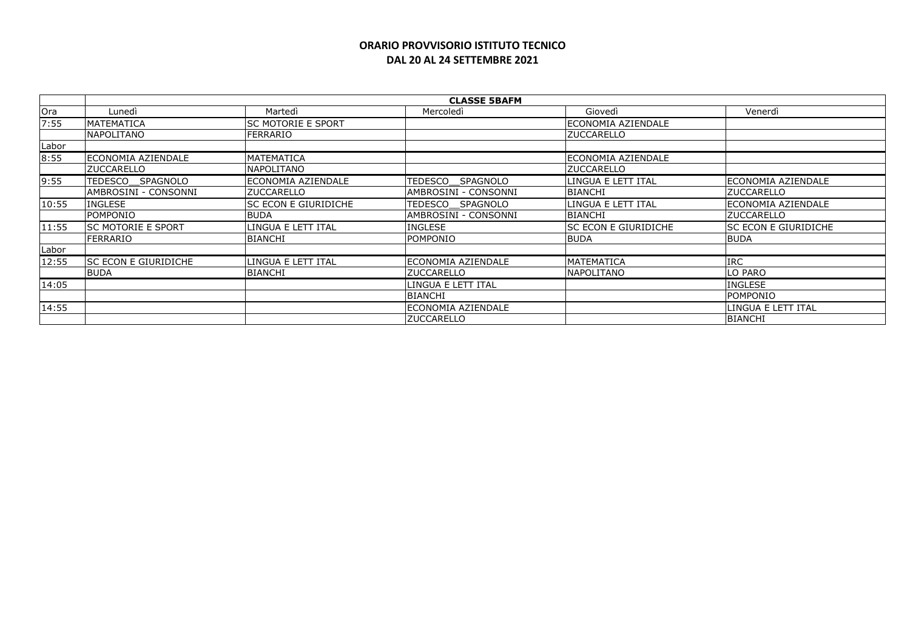## **ORARIO PROVVISORIO ISTITUTO TECNICO DAL 20 AL 24 SETTEMBRE 2021**

|       | <b>CLASSE 5BAFM</b>        |                             |                      |                             |                              |  |
|-------|----------------------------|-----------------------------|----------------------|-----------------------------|------------------------------|--|
| Ora   | Lunedì                     | Martedì                     | Mercoledi            | Giovedì                     | Venerdì                      |  |
| 7:55  | <b>MATEMATICA</b>          | <b>SC MOTORIE E SPORT</b>   |                      | ECONOMIA AZIENDALE          |                              |  |
|       | <b>NAPOLITANO</b>          | FERRARIO                    |                      | <b>ZUCCARELLO</b>           |                              |  |
| Labor |                            |                             |                      |                             |                              |  |
| 8:55  | lECONOMIA AZIENDALE        | MATEMATICA                  |                      | ECONOMIA AZIENDALE          |                              |  |
|       | <b>IZUCCARELLO</b>         | NAPOLITANO                  |                      | <b>ZUCCARELLO</b>           |                              |  |
| 9:55  | SPAGNOLO<br><b>TEDESCO</b> | ECONOMIA AZIENDALE          | TEDESCO<br>SPAGNOLO  | LINGUA E LETT ITAL          | lECONOMIA AZIENDALE          |  |
|       | AMBROSINI - CONSONNI       | <b>ZUCCARELLO</b>           | AMBROSINI - CONSONNI | <b>BIANCHI</b>              | <b>ZUCCARELLO</b>            |  |
| 10:55 | <b>INGLESE</b>             | <b>SC ECON E GIURIDICHE</b> | TEDESCO SPAGNOLO     | LINGUA E LETT ITAL          | ECONOMIA AZIENDALE           |  |
|       | POMPONIO                   | <b>BUDA</b>                 | AMBROSINI - CONSONNI | <b>BIANCHI</b>              | <b>ZUCCARELLO</b>            |  |
| 11:55 | <b>SC MOTORIE E SPORT</b>  | LINGUA E LETT ITAL          | <b>INGLESE</b>       | <b>SC ECON E GIURIDICHE</b> | <b>ISC ECON E GIURIDICHE</b> |  |
|       | <b>FERRARIO</b>            | <b>BIANCHI</b>              | <b>POMPONIO</b>      | <b>BUDA</b>                 | <b>BUDA</b>                  |  |
| Labor |                            |                             |                      |                             |                              |  |
| 12:55 | ISC ECON E GIURIDICHE      | LINGUA E LETT ITAL          | ECONOMIA AZIENDALE   | <b>MATEMATICA</b>           | <b>IRC</b>                   |  |
|       | <b>BUDA</b>                | <b>BIANCHI</b>              | <b>ZUCCARELLO</b>    | <b>NAPOLITANO</b>           | LO PARO                      |  |
| 14:05 |                            |                             | LINGUA E LETT ITAL   |                             | <b>INGLESE</b>               |  |
|       |                            |                             | BIANCHI              |                             | POMPONIO                     |  |
| 14:55 |                            |                             | ECONOMIA AZIENDALE   |                             | LINGUA E LETT ITAL           |  |
|       |                            |                             | <b>ZUCCARELLO</b>    |                             | <b>BIANCHI</b>               |  |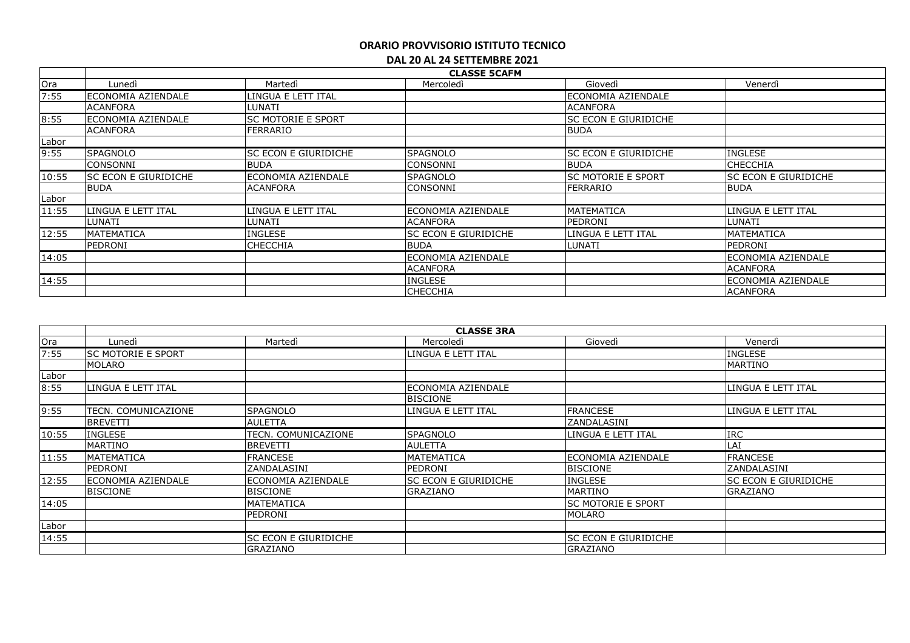|       | <b>CLASSE 5CAFM</b>   |                             |                      |                             |                      |  |
|-------|-----------------------|-----------------------------|----------------------|-----------------------------|----------------------|--|
| Ora   | Lunedì                | Martedì                     | Mercoledì            | Giovedì                     | Venerdì              |  |
| 7:55  | ECONOMIA AZIENDALE    | INGUA E LETT ITAL           |                      | ECONOMIA AZIENDALE          |                      |  |
|       | ACANFORA              | LUNATI                      |                      | <b>ACANFORA</b>             |                      |  |
| 8:55  | ECONOMIA AZIENDALE    | <b>SC MOTORIE E SPORT</b>   |                      | <b>SC ECON E GIURIDICHE</b> |                      |  |
|       | <b>ACANFORA</b>       | FERRARIO                    |                      | <b>BUDA</b>                 |                      |  |
| Labor |                       |                             |                      |                             |                      |  |
| 9:55  | <b>SPAGNOLO</b>       | <b>SC ECON E GIURIDICHE</b> | <b>SPAGNOLO</b>      | SC ECON E GIURIDICHE        | <b>INGLESE</b>       |  |
|       | <b>CONSONNI</b>       | <b>BUDA</b>                 | <b>CONSONNI</b>      | <b>BUDA</b>                 | <b>CHECCHIA</b>      |  |
| 10:55 | lsc econ e giuridiche | ECONOMIA AZIENDALE          | <b>SPAGNOLO</b>      | <b>SC MOTORIE E SPORT</b>   | SC ECON E GIURIDICHE |  |
|       | <b>BUDA</b>           | <b>ACANFORA</b>             | <b>CONSONNI</b>      | FERRARIO                    | <b>BUDA</b>          |  |
| Labor |                       |                             |                      |                             |                      |  |
| 11:55 | LINGUA E LETT ITAL    | LINGUA E LETT ITAL          | ECONOMIA AZIENDALE   | <b>MATEMATICA</b>           | LINGUA E LETT ITAL   |  |
|       | LUNATI                | LUNATI                      | <b>ACANFORA</b>      | PEDRONI                     | LUNATI               |  |
| 12:55 | <b>MATEMATICA</b>     | INGLESE                     | SC ECON E GIURIDICHE | LINGUA E LETT ITAL          | <b>MATEMATICA</b>    |  |
|       | PEDRONI               | <b>CHECCHIA</b>             | <b>BUDA</b>          | LUNATI                      | PEDRONI              |  |
| 14:05 |                       |                             | ECONOMIA AZIENDALE   |                             | ECONOMIA AZIENDALE   |  |
|       |                       |                             | <b>ACANFORA</b>      |                             | <b>ACANFORA</b>      |  |
| 14:55 |                       |                             | <b>INGLESE</b>       |                             | ECONOMIA AZIENDALE   |  |
|       |                       |                             | <b>CHECCHIA</b>      |                             | <b>ACANFORA</b>      |  |

|       | <b>CLASSE 3RA</b>         |                             |                      |                           |                       |  |  |
|-------|---------------------------|-----------------------------|----------------------|---------------------------|-----------------------|--|--|
| Ora   | Lunedì                    | Martedì                     | Mercoledì            | Giovedì                   | Venerdì               |  |  |
| 7:55  | <b>SC MOTORIE E SPORT</b> |                             | LINGUA E LETT ITAL   |                           | <b>INGLESE</b>        |  |  |
|       | <b>MOLARO</b>             |                             |                      |                           | <b>MARTINO</b>        |  |  |
| Labor |                           |                             |                      |                           |                       |  |  |
| 8:55  | LINGUA E LETT ITAL        |                             | ECONOMIA AZIENDALE   |                           | LINGUA E LETT ITAL    |  |  |
|       |                           |                             | <b>BISCIONE</b>      |                           |                       |  |  |
| 9:55  | TECN. COMUNICAZIONE       | <b>SPAGNOLO</b>             | LINGUA E LETT ITAL   | <b>FRANCESE</b>           | LINGUA E LETT ITAL    |  |  |
|       | <b>BREVETTI</b>           | <b>AULETTA</b>              |                      | ZANDALASINI               |                       |  |  |
| 10:55 | <b>INGLESE</b>            | TECN. COMUNICAZIONE         | <b>SPAGNOLO</b>      | LINGUA E LETT ITAL        | <b>IRC</b>            |  |  |
|       | <b>MARTINO</b>            | <b>BREVETTI</b>             | <b>AULETTA</b>       |                           | LAI                   |  |  |
| 11:55 | <b>MATEMATICA</b>         | <b>FRANCESE</b>             | <b>MATEMATICA</b>    | ECONOMIA AZIENDALE        | <b>FRANCESE</b>       |  |  |
|       | PEDRONI                   | ZANDALASINI                 | PEDRONI              | <b>BISCIONE</b>           | ZANDALASINI           |  |  |
| 12:55 | <b>ECONOMIA AZIENDALE</b> | ECONOMIA AZIENDALE          | SC ECON E GIURIDICHE | <b>INGLESE</b>            | ISC ECON E GIURIDICHE |  |  |
|       | <b>BISCIONE</b>           | <b>BISCIONE</b>             | <b>GRAZIANO</b>      | MARTINO                   | <b>GRAZIANO</b>       |  |  |
| 14:05 |                           | MATEMATICA                  |                      | <b>SC MOTORIE E SPORT</b> |                       |  |  |
|       |                           | <b>PEDRONI</b>              |                      | <b>MOLARO</b>             |                       |  |  |
| Labor |                           |                             |                      |                           |                       |  |  |
| 14:55 |                           | <b>SC ECON E GIURIDICHE</b> |                      | SC ECON E GIURIDICHE      |                       |  |  |
|       |                           | <b>GRAZIANO</b>             |                      | <b>GRAZIANO</b>           |                       |  |  |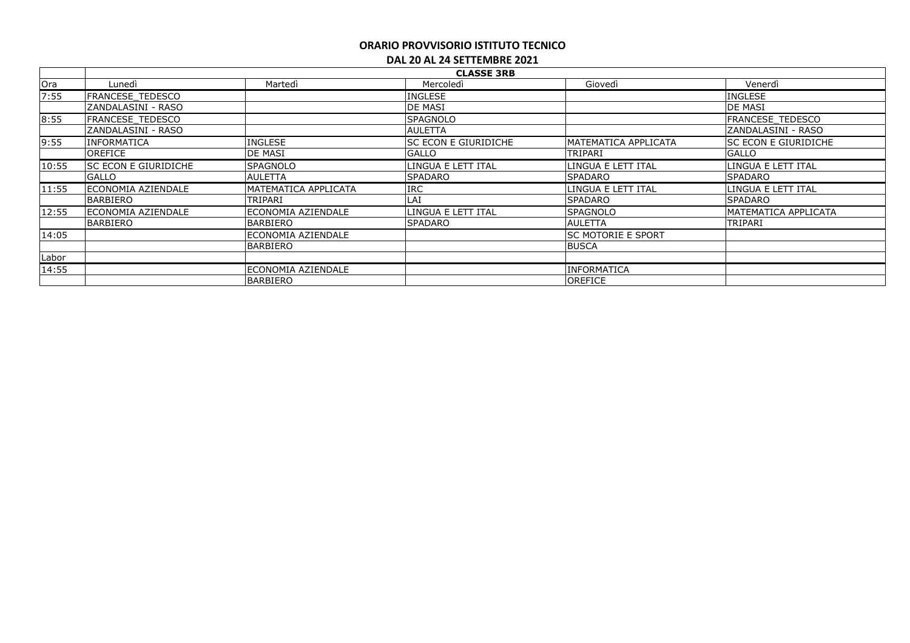|       | <b>CLASSE 3RB</b>           |                      |                             |                             |                             |  |
|-------|-----------------------------|----------------------|-----------------------------|-----------------------------|-----------------------------|--|
| Ora   | Lunedì                      | Martedì              | Mercoledì                   | Giovedì                     | Venerdì                     |  |
| 7:55  | <b>FRANCESE TEDESCO</b>     |                      | <b>INGLESE</b>              |                             | <b>INGLESE</b>              |  |
|       | ZANDALASINI - RASO          |                      | <b>DE MASI</b>              |                             | <b>DE MASI</b>              |  |
| 8:55  | <b>FRANCESE TEDESCO</b>     |                      | <b>SPAGNOLO</b>             |                             | <b>FRANCESE TEDESCO</b>     |  |
|       | ZANDALASINI - RASO          |                      | <b>AULETTA</b>              |                             | IZANDALASINI - RASO         |  |
| 9:55  | <b>INFORMATICA</b>          | <b>INGLESE</b>       | <b>SC ECON E GIURIDICHE</b> | <b>MATEMATICA APPLICATA</b> | <b>SC ECON E GIURIDICHE</b> |  |
|       | <b>OREFICE</b>              | <b>DE MASI</b>       | <b>GALLO</b>                | TRIPARI                     | <b>GALLO</b>                |  |
| 10:55 | <b>SC ECON E GIURIDICHE</b> | <b>SPAGNOLO</b>      | llingua e lett ital         | LINGUA E LETT ITAL          | LINGUA E LETT ITAL          |  |
|       | <b>GALLO</b>                | <b>AULETTA</b>       | <b>ISPADARO</b>             | <b>ISPADARO</b>             | <b>SPADARO</b>              |  |
| 11:55 | <b>ECONOMIA AZIENDALE</b>   | MATEMATICA APPLICATA | <b>IRC</b>                  | llingua e lett ital         | LINGUA E LETT ITAL          |  |
|       | BARBIERO                    | TRIPARI              | LAI                         | <b>SPADARO</b>              | <b>SPADARO</b>              |  |
| 12:55 | <b>ECONOMIA AZIENDALE</b>   | ECONOMIA AZIENDALE   | LINGUA E LETT ITAL          | ISPAGNOLO                   | MATEMATICA APPLICATA        |  |
|       | BARBIERO                    | <b>BARBIERO</b>      | <b>SPADARO</b>              | <b>AULETTA</b>              | TRIPARI                     |  |
| 14:05 |                             | ECONOMIA AZIENDALE   |                             | lsc motorie e sport         |                             |  |
|       |                             | <b>BARBIERO</b>      |                             | <b>BUSCA</b>                |                             |  |
| Labor |                             |                      |                             |                             |                             |  |
| 14:55 |                             | ECONOMIA AZIENDALE   |                             | <b>INFORMATICA</b>          |                             |  |
|       |                             | <b>BARBIERO</b>      |                             | OREFICE                     |                             |  |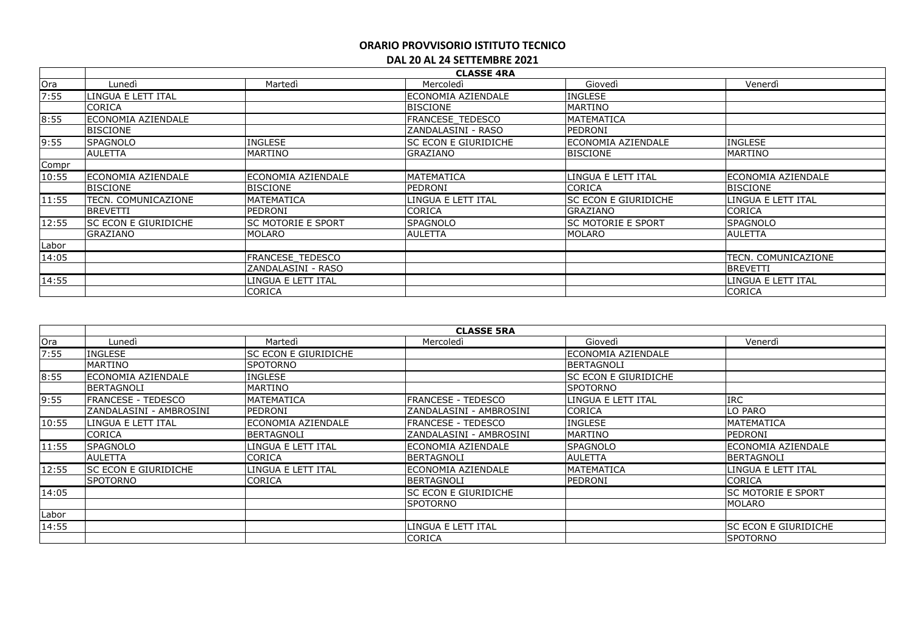|       | <b>CLASSE 4RA</b>           |                           |                         |                             |                     |  |
|-------|-----------------------------|---------------------------|-------------------------|-----------------------------|---------------------|--|
| Ora   | Lunedì                      | Martedì                   | Mercoledì               | Giovedì                     | Venerdì             |  |
| 7:55  | LINGUA E LETT ITAL          |                           | lECONOMIA AZIENDALE     | <b>INGLESE</b>              |                     |  |
|       | CORICA                      |                           | <b>BISCIONE</b>         | <b>MARTINO</b>              |                     |  |
| 8:55  | <b>ECONOMIA AZIENDALE</b>   |                           | <b>FRANCESE TEDESCO</b> | MATEMATICA                  |                     |  |
|       | <b>BISCIONE</b>             |                           | IZANDALASINI - RASO     | PEDRONI                     |                     |  |
| 9:55  | <b>SPAGNOLO</b>             | <b>INGLESE</b>            | ISC ECON E GIURIDICHE   | ECONOMIA AZIENDALE          | <b>INGLESE</b>      |  |
|       | <b>AULETTA</b>              | <b>MARTINO</b>            | GRAZIANO                | <b>BISCIONE</b>             | MARTINO             |  |
| Compr |                             |                           |                         |                             |                     |  |
| 10:55 | <b>ECONOMIA AZIENDALE</b>   | ECONOMIA AZIENDALE        | MATEMATICA              | LINGUA E LETT ITAL          | ECONOMIA AZIENDALE  |  |
|       | <b>BISCIONE</b>             | <b>BISCIONE</b>           | PEDRONI                 | <b>CORICA</b>               | <b>BISCIONE</b>     |  |
| 11:55 | TECN. COMUNICAZIONE         | <b>MATEMATICA</b>         | LINGUA E LETT ITAL      | <b>SC ECON E GIURIDICHE</b> | LINGUA E LETT ITAL  |  |
|       | <b>BREVETTI</b>             | PEDRONI                   | <b>CORICA</b>           | <b>GRAZIANO</b>             | <b>CORICA</b>       |  |
| 12:55 | <b>SC ECON E GIURIDICHE</b> | <b>SC MOTORIE E SPORT</b> | <b>SPAGNOLO</b>         | <b>SC MOTORIE E SPORT</b>   | <b>SPAGNOLO</b>     |  |
|       | GRAZIANO                    | MOLARO                    | <b>AULETTA</b>          | MOLARO                      | <b>AULETTA</b>      |  |
| Labor |                             |                           |                         |                             |                     |  |
| 14:05 |                             | <b>FRANCESE TEDESCO</b>   |                         |                             | TECN. COMUNICAZIONE |  |
|       |                             | ZANDALASINI - RASO        |                         |                             | <b>BREVETTI</b>     |  |
| 14:55 |                             | LINGUA E LETT ITAL        |                         |                             | LINGUA E LETT ITAL  |  |
|       |                             | <b>CORICA</b>             |                         |                             | <b>CORICA</b>       |  |

|       | <b>CLASSE 5RA</b>           |                             |                           |                             |                             |  |  |
|-------|-----------------------------|-----------------------------|---------------------------|-----------------------------|-----------------------------|--|--|
| Ora   | Lunedì                      | Martedì                     | Mercoledì                 | Giovedì                     | Venerdì                     |  |  |
| 7:55  | <b>INGLESE</b>              | <b>SC ECON E GIURIDICHE</b> |                           | <b>IECONOMIA AZIENDALE</b>  |                             |  |  |
|       | <b>MARTINO</b>              | <b>SPOTORNO</b>             |                           | BERTAGNOLI                  |                             |  |  |
| 8:55  | ECONOMIA AZIENDALE          | <b>INGLESE</b>              |                           | <b>SC ECON E GIURIDICHE</b> |                             |  |  |
|       | BERTAGNOLI                  | <b>MARTINO</b>              |                           | <b>SPOTORNO</b>             |                             |  |  |
| 9:55  | <b>FRANCESE - TEDESCO</b>   | MATEMATICA                  | <b>FRANCESE - TEDESCO</b> | LINGUA E LETT ITAL          | <b>IRC</b>                  |  |  |
|       | ZANDALASINI - AMBROSINI     | PEDRONI                     | ZANDALASINI - AMBROSINI   | <b>CORICA</b>               | LO PARO                     |  |  |
| 10:55 | LINGUA E LETT ITAL          | ECONOMIA AZIENDALE          | <b>FRANCESE - TEDESCO</b> | <b>INGLESE</b>              | <b>MATEMATICA</b>           |  |  |
|       | <b>CORICA</b>               | <b>BERTAGNOLI</b>           | ZANDALASINI - AMBROSINI   | <b>MARTINO</b>              | PEDRONI                     |  |  |
| 11:55 | <b>SPAGNOLO</b>             | LINGUA E LETT ITAL          | ECONOMIA AZIENDALE        | <b>SPAGNOLO</b>             | lECONOMIA AZIENDALE         |  |  |
|       | <b>AULETTA</b>              | CORICA                      | <b>BERTAGNOLI</b>         | <b>AULETTA</b>              | BERTAGNOLI                  |  |  |
| 12:55 | <b>SC ECON E GIURIDICHE</b> | LINGUA E LETT ITAL          | ECONOMIA AZIENDALE        | MATEMATICA                  | llingua e lett ital         |  |  |
|       | <b>ISPOTORNO</b>            | <b>CORICA</b>               | <b>BERTAGNOLI</b>         | PEDRONI                     | <b>CORICA</b>               |  |  |
| 14:05 |                             |                             | ISC ECON E GIURIDICHE     |                             | <b>SC MOTORIE E SPORT</b>   |  |  |
|       |                             |                             | <b>SPOTORNO</b>           |                             | <b>MOLARO</b>               |  |  |
| Labor |                             |                             |                           |                             |                             |  |  |
| 14:55 |                             |                             | LINGUA E LETT ITAL        |                             | <b>SC ECON E GIURIDICHE</b> |  |  |
|       |                             |                             | <b>CORICA</b>             |                             | <b>SPOTORNO</b>             |  |  |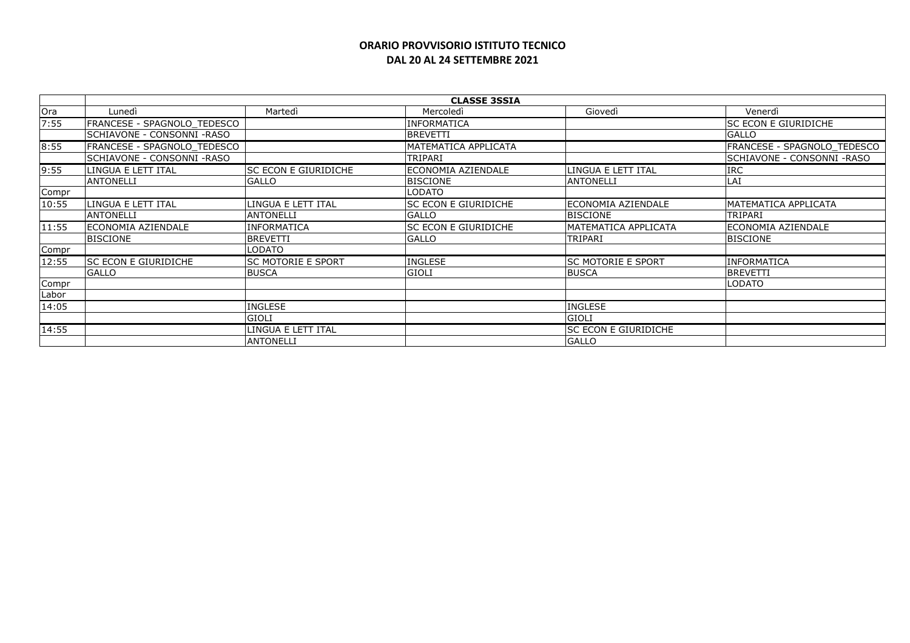## **ORARIO PROVVISORIO ISTITUTO TECNICO DAL 20 AL 24 SETTEMBRE 2021**

|       | <b>CLASSE 3SSIA</b>         |                             |                             |                           |                             |  |
|-------|-----------------------------|-----------------------------|-----------------------------|---------------------------|-----------------------------|--|
| Ora   | Lunedì                      | Martedì                     | Mercoledì                   | Giovedì                   | Venerdì                     |  |
| 7:55  | FRANCESE - SPAGNOLO TEDESCO |                             | <b>INFORMATICA</b>          |                           | <b>SC ECON E GIURIDICHE</b> |  |
|       | SCHIAVONE - CONSONNI -RASO  |                             | <b>BREVETTI</b>             |                           | <b>GALLO</b>                |  |
| 8:55  | FRANCESE - SPAGNOLO TEDESCO |                             | MATEMATICA APPLICATA        |                           | FRANCESE - SPAGNOLO TEDESCO |  |
|       | SCHIAVONE - CONSONNI -RASO  |                             | TRIPARI                     |                           | SCHIAVONE - CONSONNI -RASO  |  |
| 9:55  | LINGUA E LETT ITAL          | <b>SC ECON E GIURIDICHE</b> | ECONOMIA AZIENDALE          | LINGUA E LETT ITAL        | <b>IRC</b>                  |  |
|       | <b>ANTONELLI</b>            | <b>GALLO</b>                | <b>BISCIONE</b>             | <b>ANTONELLI</b>          | LAI                         |  |
| Compr |                             |                             | <b>LODATO</b>               |                           |                             |  |
| 10:55 | LINGUA E LETT ITAL          | LINGUA E LETT ITAL          | SC ECON E GIURIDICHE        | ECONOMIA AZIENDALE        | MATEMATICA APPLICATA        |  |
|       | <b>ANTONELLI</b>            | <b>ANTONELLI</b>            | <b>GALLO</b>                | <b>BISCIONE</b>           | <b>TRIPARI</b>              |  |
| 11:55 | <b>ECONOMIA AZIENDALE</b>   | <b>INFORMATICA</b>          | <b>SC ECON E GIURIDICHE</b> | MATEMATICA APPLICATA      | ECONOMIA AZIENDALE          |  |
|       | <b>BISCIONE</b>             | <b>BREVETTI</b>             | <b>GALLO</b>                | TRIPARI                   | <b>BISCIONE</b>             |  |
| Compr |                             | LODATO                      |                             |                           |                             |  |
| 12:55 | <b>SC ECON E GIURIDICHE</b> | <b>SC MOTORIE E SPORT</b>   | <b>INGLESE</b>              | <b>SC MOTORIE E SPORT</b> | <b>INFORMATICA</b>          |  |
|       | <b>GALLO</b>                | <b>BUSCA</b>                | <b>GIOLI</b>                | <b>BUSCA</b>              | <b>BREVETTI</b>             |  |
| Compr |                             |                             |                             |                           | <b>LODATO</b>               |  |
| Labor |                             |                             |                             |                           |                             |  |
| 14:05 |                             | <b>INGLESE</b>              |                             | INGLESE                   |                             |  |
|       |                             | <b>GIOLI</b>                |                             | <b>GIOLI</b>              |                             |  |
| 14:55 |                             | LINGUA E LETT ITAL          |                             | SC ECON E GIURIDICHE      |                             |  |
|       |                             | <b>ANTONELLI</b>            |                             | <b>GALLO</b>              |                             |  |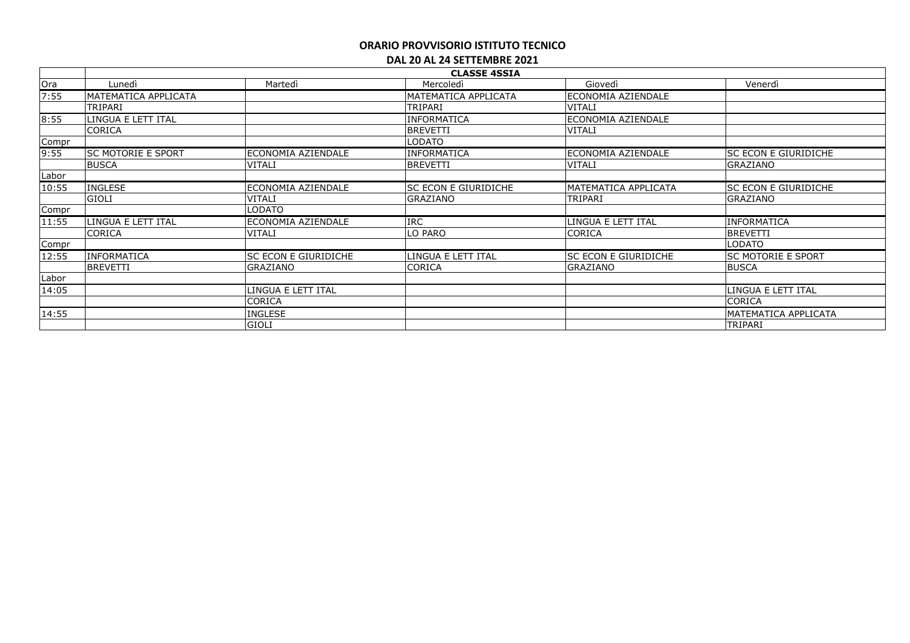|       | <b>CLASSE 4SSIA</b>       |                             |                             |                             |                           |  |  |
|-------|---------------------------|-----------------------------|-----------------------------|-----------------------------|---------------------------|--|--|
| Ora   | Lunedì                    | Martedì                     | Mercoledì                   | Giovedì                     | Venerdì                   |  |  |
| 7:55  | MATEMATICA APPLICATA      |                             | MATEMATICA APPLICATA        | ECONOMIA AZIENDALE          |                           |  |  |
|       | TRIPARI                   |                             | TRIPARI                     | VITALI                      |                           |  |  |
| 8:55  | LINGUA E LETT ITAL        |                             | <b>INFORMATICA</b>          | ECONOMIA AZIENDALE          |                           |  |  |
|       | <b>CORICA</b>             |                             | <b>BREVETTI</b>             | <b>VITALI</b>               |                           |  |  |
| Compr |                           |                             | LODATO                      |                             |                           |  |  |
| 9:55  | <b>SC MOTORIE E SPORT</b> | ECONOMIA AZIENDALE          | <b>INFORMATICA</b>          | ECONOMIA AZIENDALE          | SC ECON E GIURIDICHE      |  |  |
|       | <b>BUSCA</b>              | <b>VITALI</b>               | <b>BREVETTI</b>             | <b>VITALI</b>               | GRAZIANO                  |  |  |
| Labor |                           |                             |                             |                             |                           |  |  |
| 10:55 | <b>INGLESE</b>            | ECONOMIA AZIENDALE          | <b>SC ECON E GIURIDICHE</b> | <b>MATEMATICA APPLICATA</b> | SC ECON E GIURIDICHE      |  |  |
|       | <b>GIOLI</b>              | <b>VITALI</b>               | GRAZIANO                    | TRIPARI                     | <b>GRAZIANO</b>           |  |  |
| Compr |                           | ODATO.                      |                             |                             |                           |  |  |
| 11:55 | LINGUA E LETT ITAL        | ECONOMIA AZIENDALE          | <b>IRC</b>                  | LINGUA E LETT ITAL          | INFORMATICA               |  |  |
|       | CORICA                    | <b>VITALI</b>               | LO PARO                     | CORICA                      | <b>BREVETTI</b>           |  |  |
| Compr |                           |                             |                             |                             | <b>LODATO</b>             |  |  |
| 12:55 | <b>INFORMATICA</b>        | <b>SC ECON E GIURIDICHE</b> | LINGUA E LETT ITAL          | SC ECON E GIURIDICHE        | <b>SC MOTORIE E SPORT</b> |  |  |
|       | <b>BREVETTI</b>           | <b>GRAZIANO</b>             | <b>CORICA</b>               | GRAZIANO                    | <b>BUSCA</b>              |  |  |
| Labor |                           |                             |                             |                             |                           |  |  |
| 14:05 |                           | INGUA E LETT ITAL           |                             |                             | LINGUA E LETT ITAL        |  |  |
|       |                           | CORICA                      |                             |                             | CORICA                    |  |  |
| 14:55 |                           | INGLESE                     |                             |                             | MATEMATICA APPLICATA      |  |  |
|       |                           | <b>GIOLI</b>                |                             |                             | TRIPARI                   |  |  |